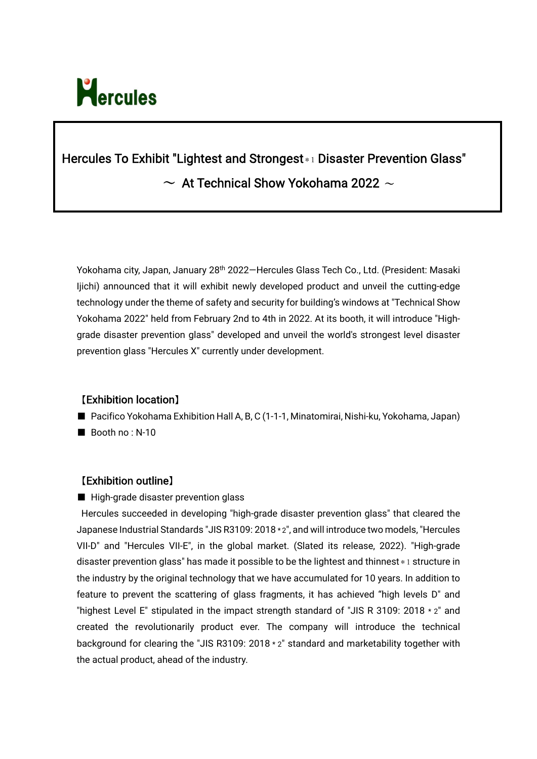

# Hercules To Exhibit "Lightest and Strongest\*1 Disaster Prevention Glass"  $\sim$  At Technical Show Yokohama 2022  $\sim$

Yokohama city, Japan, January 28<sup>th</sup> 2022–Hercules Glass Tech Co., Ltd. (President: Masaki Ijichi) announced that it will exhibit newly developed product and unveil the cutting-edge technology under the theme of safety and security for building's windows at "Technical Show Yokohama 2022" held from February 2nd to 4th in 2022. At its booth, it will introduce "Highgrade disaster prevention glass" developed and unveil the world's strongest level disaster prevention glass "Hercules X" currently under development.

## 【Exhibition location】

- Pacifico Yokohama Exhibition Hall A, B, C (1-1-1, Minatomirai, Nishi-ku, Yokohama, Japan)
- Booth no : N-10

## 【Exhibition outline】

■ High-grade disaster prevention glass

Hercules succeeded in developing "high-grade disaster prevention glass" that cleared the Japanese Industrial Standards "JIS R3109: 2018 \* 2", and will introduce two models, "Hercules VII-D" and "Hercules VII-E", in the global market. (Slated its release, 2022). "High-grade disaster prevention glass" has made it possible to be the lightest and thinnest  $*1$  structure in the industry by the original technology that we have accumulated for 10 years. In addition to feature to prevent the scattering of glass fragments, it has achieved "high levels D" and "highest Level E" stipulated in the impact strength standard of "JIS R 3109: 2018  $*$  2" and created the revolutionarily product ever. The company will introduce the technical background for clearing the "JIS R3109: 2018 \* 2" standard and marketability together with the actual product, ahead of the industry.